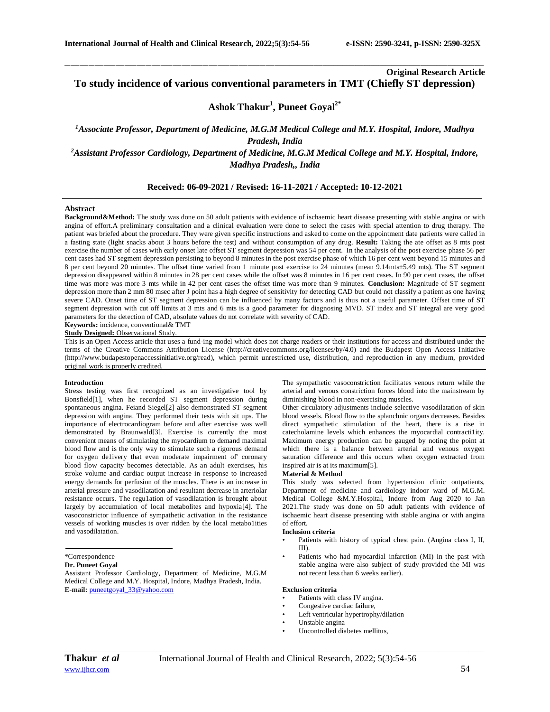## **Original Research Article To study incidence of various conventional parameters in TMT (Chiefly ST depression)**

\_\_\_\_\_\_\_\_\_\_\_\_\_\_\_\_\_\_\_\_\_\_\_\_\_\_\_\_\_\_\_\_\_\_\_\_\_\_\_\_\_\_\_\_\_\_\_\_\_\_\_\_\_\_\_\_\_\_\_\_\_\_\_\_\_\_\_\_\_\_\_\_\_\_\_\_\_\_\_\_\_\_\_\_\_\_\_\_\_\_\_\_\_\_\_\_\_\_\_\_\_\_\_\_\_\_\_\_\_\_\_\_\_\_\_\_\_\_\_\_\_\_\_\_\_\_\_\_\_\_\_\_\_\_\_\_\_\_\_\_

# **Ashok Thakur<sup>1</sup> , Puneet Goyal2\***

*<sup>1</sup>Associate Professor, Department of Medicine, M.G.M Medical College and M.Y. Hospital, Indore, Madhya Pradesh, India <sup>2</sup>Assistant Professor Cardiology, Department of Medicine, M.G.M Medical College and M.Y. Hospital, Indore, Madhya Pradesh,, India*

## **Received: 06-09-2021 / Revised: 16-11-2021 / Accepted: 10-12-2021**

## **Abstract**

**Background&Method:** The study was done on 50 adult patients with evidence of ischaemic heart disease presenting with stable angina or with angina of effort.A preliminary consultation and a clinical evaluation were done to select the cases with special attention to drug therapy. The patient was briefed about the procedure. They were given specific instructions and asked to come on the appointment date patients were called in a fasting state (light snacks about 3 hours before the test) and without consumption of any drug. **Result:** Taking the ate offset as 8 mts post exercise the number of cases with early onset late offset ST segment depression was 54 per cent. In the analysis of the post exercise phase 56 per cent cases had ST segment depression persisting to beyond 8 minutes in the post exercise phase of which 16 per cent went beyond 15 minutes and 8 per cent beyond 20 minutes. The offset time varied from 1 minute post exercise to 24 minutes (mean 9.14mts±5.49 mts). The ST segment depression disappeared within 8 minutes in 28 per cent cases while the offset was 8 minutes in 16 per cent cases. In 90 per cent cases, the offset time was more was more 3 mts while in 42 per cent cases the offset time was more than 9 minutes. **Conclusion:** Magnitude of ST segment depression more than 2 mm 80 msec after J point has a high degree of sensitivity for detecting CAD but could not classify a patient as one having severe CAD. Onset time of ST segment depression can be influenced by many factors and is thus not a useful parameter. Offset time of ST segment depression with cut off limits at 3 mts and 6 mts is a good parameter for diagnosing MVD. ST index and ST integral are very good parameters for the detection of CAD, absolute values do not correlate with severity of CAD.

**Keywords:** incidence, conventional& TMT **Study Designed:** Observational Study.

This is an Open Access article that uses a fund-ing model which does not charge readers or their institutions for access and distributed under the terms of the Creative Commons Attribution License (http://creativecommons.org/licenses/by/4.0) and the Budapest Open Access Initiative (http://www.budapestopenaccessinitiative.org/read), which permit unrestricted use, distribution, and reproduction in any medium, provided original work is properly credited.

## **Introduction**

Stress testing was first recognized as an investigative tool by Bonsfield[1], when he recorded ST segment depression during spontaneous angina. Feiand Siegel[2] also demonstrated ST segment depression with angina. They performed their tests with sit ups. The importance of electrocardiogram before and after exercise was well demonstrated by Braunwald[3]. Exercise is currently the most convenient means of stimulating the myocardium to demand maximal blood flow and is the only way to stimulate such a rigorous demand for oxygen de1ivery that even moderate impairment of' coronary blood flow capacity becomes detectable. As an adult exercises, his stroke volume and cardiac output increase in response to increased energy demands for perfusion of the muscles. There is an increase in arterial pressure and vasodilatation and resultant decrease in arteriolar resistance occurs. The regu1ation of vasodilatation is brought about largely by accumulation of local metabolites and hypoxia[4]. The vasoconstrictor influence of sympathetic activation in the resistance vessels of working muscles is over ridden by the local metabo1ities and vasodilatation.

**Dr. Puneet Goyal**

Assistant Professor Cardiology, Department of Medicine, M.G.M Medical College and M.Y. Hospital, Indore, Madhya Pradesh, India. **E-mail:** [puneetgoyal\\_33@yahoo.com](about:blank)

The sympathetic vasoconstriction facilitates venous return while the arterial and venous constriction forces blood into the mainstream by diminishing blood in non-exercising muscles.

Other circulatory adjustments include selective vasodilatation of skin blood vessels. Blood flow to the splanchnic organs decreases. Besides direct sympathetic stimulation of the heart, there is a rise in catecholamine levels which enhances the myocardial contracti1ity. Maximum energy production can be gauged by noting the point at which there is a balance between arterial and venous oxygen saturation difference and this occurs when oxygen extracted from inspired air is at its maximum[5].

#### **Material & Method**

This study was selected from hypertension clinic outpatients, Department of medicine and cardiology indoor ward of M.G.M. Medical College &M.Y.Hospital, Indore from Aug 2020 to Jan 2021.The study was done on 50 adult patients with evidence of ischaemic heart disease presenting with stable angina or with angina of effort.

#### **Inclusion criteria**

- Patients with history of typical chest pain. (Angina class I, II, III).
- Patients who had myocardial infarction (MI) in the past with stable angina were also subject of study provided the MI was not recent less than 6 weeks earlier).

## **Exclusion criteria**

- Patients with class IV angina.
- Congestive cardiac failure.
- Left ventricular hypertrophy/dilation
- Unstable angina
- Uncontrolled diabetes mellitus,

*\_\_\_\_\_\_\_\_\_\_\_\_\_\_\_\_\_\_\_\_\_\_\_\_\_\_\_\_\_\_\_\_\_\_\_\_\_\_\_\_\_\_\_\_\_\_\_\_\_\_\_\_\_\_\_\_\_\_\_\_\_\_\_\_\_\_\_\_\_\_\_\_\_\_\_\_\_\_\_\_\_\_\_\_\_\_\_\_\_\_\_\_\_\_\_\_\_\_\_\_\_\_\_\_\_\_\_\_\_\_\_\_\_\_\_\_\_\_\_\_\_\_\_\_\_\_\_\_\_\_\_\_\_\_\_\_\_\_\_\_*

<sup>\*</sup>Correspondence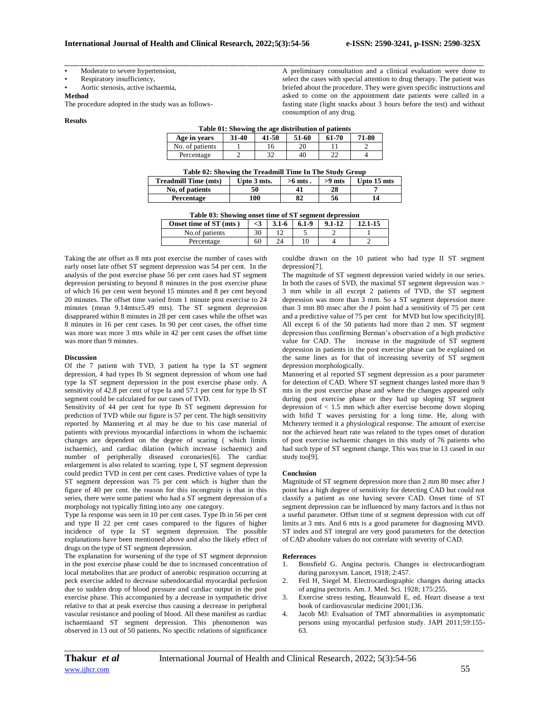A preliminary consultation and a clinical evaluation were done to select the cases with special attention to drug therapy. The patient was briefed about the procedure. They were given specific instructions and asked to come on the appointment date patients were called in a fasting state (light snacks about 3 hours before the test) and without

Moderate to severe hypertension,

Respiratory insufficiency,

• Aortic stenosis, active ischaemia,

**Method**

The procedure adopted in the study was as follows-

### **Results**

| Table 01: Showing the age distribution of patients |       |       |       |       |       |  |  |  |
|----------------------------------------------------|-------|-------|-------|-------|-------|--|--|--|
| Age in vears                                       | 31-40 | 41-50 | 51-60 | 61-70 | 71-80 |  |  |  |
| No. of patients                                    |       | 16    | 20    |       |       |  |  |  |
| Percentage                                         |       | 32    | 40    | າາ    |       |  |  |  |

consumption of any drug.

\_\_\_\_\_\_\_\_\_\_\_\_\_\_\_\_\_\_\_\_\_\_\_\_\_\_\_\_\_\_\_\_\_\_\_\_\_\_\_\_\_\_\_\_\_\_\_\_\_\_\_\_\_\_\_\_\_\_\_\_\_\_\_\_\_\_\_\_\_\_\_\_\_\_\_\_\_\_\_\_\_\_\_\_\_\_\_\_\_\_\_\_\_\_\_\_\_\_\_\_\_\_\_\_\_\_\_\_\_\_\_\_\_\_\_\_\_\_\_\_\_\_\_\_\_\_\_\_\_\_\_\_\_\_\_\_\_\_\_\_

| Table 02: Showing the Treadmill Time In The Study Group |             |           |          |             |  |  |  |  |
|---------------------------------------------------------|-------------|-----------|----------|-------------|--|--|--|--|
| <b>Treadmill Time (mts)</b>                             | Upto 3 mts. | $>6$ mts. | $>9$ mts | Upto 15 mts |  |  |  |  |
| No. of patients                                         | 50          | 41        | 28       |             |  |  |  |  |
| Percentage                                              | 100         | 82        | 56       | 14          |  |  |  |  |

| Table 03: Showing onset time of ST segment depression |          |           |           |            |             |  |  |  |
|-------------------------------------------------------|----------|-----------|-----------|------------|-------------|--|--|--|
| Onset time of ST (mts)                                | $\leq$ 3 | $3.1 - 6$ | $6.1 - 9$ | $9.1 - 12$ | $12.1 - 15$ |  |  |  |
| No.of patients                                        | 30       | 12        |           |            |             |  |  |  |
| Percentage                                            | 60       | 24        |           |            |             |  |  |  |

Taking the ate offset as 8 mts post exercise the number of cases with early onset late offset ST segment depression was 54 per cent. In the analysis of the post exercise phase 56 per cent cases had ST segment depression persisting to beyond 8 minutes in the post exercise phase of which 16 per cent went beyond 15 minutes and 8 per cent beyond 20 minutes. The offset time varied from 1 minute post exercise to 24 minutes (mean 9.14mts±5.49 mts). The ST segment depression disappeared within 8 minutes in 28 per cent cases while the offset was 8 minutes in 16 per cent cases. In 90 per cent cases, the offset time was more was more 3 mts while in 42 per cent cases the offset time was more than 9 minutes.

#### **Discussion**

Of the 7 patient with TVD, 3 patient ha type Ia ST segment depression, 4 had types Ib St segment depression of whom one had type Ia ST segment depression in the post exercise phase only. A sensitivity of 42.8 per cent of type Ia and 57.1 per cent for type Ib ST segment could be calculated for our cases of TVD.

Sensitivity of 44 per cent for type Ib ST segment depression for prediction of TVD while our figure is 57 per cent. The high sensitivity reported by Mannering et al may be due to his case material of patients with previous myocardial infarctions in whom the ischaemic changes are dependent on the degree of scaring ( which limits ischaemic), and cardiac dilation (which increase ischaemic) and number of peripherally diseased coronaries[6]. The cardiac enlargement is also related to scarring. type I, ST segment depression could predict TVD in cent per cent cases. Predictive values of type Ia ST segment depression was 75 per cent which is higher than the figure of 40 per cent. the reason for this incongruity is that in this series, there were some patient who had a ST segment depression of a morphology not typically fitting into any one category.

Type Ia response was seen in 10 per cent cases. Type Ib in 56 per cent and type II 22 per cent cases compared to the figures of higher incidence of type Ia ST segment depression. The possible explanations have been mentioned above and also the likely effect of drugs on the type of ST segment depression.

The explanation for worsening of the type of ST segment depression in the post exercise phase could be due to increased concentration of local metabolites that are product of anerobic respiration occurring at peck exercise added to decrease subendocardial myocardial perfusion due to sudden drop of blood pressure and cardiac output in the post exercise phase. This accompanied by a decrease in sympathetic drive relative to that at peak exercise thus causing a decrease in peripheral vascular resistance and pooling of blood. All these manifest as cardiac ischaemiaand ST segment depression. This phenomenon was observed in 13 out of 50 patients. No specific relations of significance

couldbe drawn on the 10 patient who had type II ST segment depression[7].

The magnitude of ST segment depression varied widely in our series. In both the cases of SVD, the maximal ST segment depression was  $>$ 3 mm while in all except 2 patients of TVD, the ST segment depression was more than 3 mm. So a ST segment depression more than 3 mm 80 msec after the J point had a sensitivity of 75 per cent and a predictive value of 75 per cent for MVD but low specificity[8]. All except 6 of the 50 patients had more than 2 mm. ST segment depression thus confirming Berman's observation of a high predictive value for CAD. The increase in the magnitude of ST segment depression in patients in the post exercise phase can be explained on the same lines as for that of increasing severity of ST segment depression morphologically.

Mannering et al reported ST segment depression as a poor parameter for detection of CAD. Where ST segment changes lasted more than 9 mts in the post exercise phase and where the changes appeared only during post exercise phase or they had up sloping ST segment depression of  $< 1.5$  mm which after exercise become down sloping with bifid T waves persisting for a long time. He, along with Mchenrry termed it a physiological response. The amount of exercise nor the achieved heart rate was related to the types onset of duration of post exercise ischaemic changes in this study of 76 patients who had such type of ST segment change. This was true in 13 cased in our study too[9].

#### **Conclusion**

Magnitude of ST segment depression more than 2 mm 80 msec after J point has a high degree of sensitivity for detecting CAD but could not classify a patient as one having severe CAD. Onset time of ST segment depression can be influenced by many factors and is thus not a useful parameter. Offset time of st segment depression with cut off limits at 3 mts. And 6 mts is a good parameter for diagnosing MVD. ST index and ST integral are very good parameters for the detection of CAD absolute values do not correlate with severity of CAD.

#### **References**

- 1. Bonsfield G. Angina pectoris. Changes in electrocardiogram during paroxysm. Lancet, 1918; 2:457.
- 2. Feil H, Siegel M. Electrocardiographic changes during attacks of angina pectoris. Am. J. Med. Sci. 1928; 175:255.
- Exercise stress testing, Braunwald E, ed. Heart disease a text book of cardiovascular medicine 2001;136.
- 4. Jacob MJ: Evaluation of TMT abnormalities in asymptomatic persons using myocardial perfusion study. JAPI 2011;59:155- 63.

*\_\_\_\_\_\_\_\_\_\_\_\_\_\_\_\_\_\_\_\_\_\_\_\_\_\_\_\_\_\_\_\_\_\_\_\_\_\_\_\_\_\_\_\_\_\_\_\_\_\_\_\_\_\_\_\_\_\_\_\_\_\_\_\_\_\_\_\_\_\_\_\_\_\_\_\_\_\_\_\_\_\_\_\_\_\_\_\_\_\_\_\_\_\_\_\_\_\_\_\_\_\_\_\_\_\_\_\_\_\_\_\_\_\_\_\_\_\_\_\_\_\_\_\_\_\_\_\_\_\_\_\_\_\_\_\_\_\_\_\_*